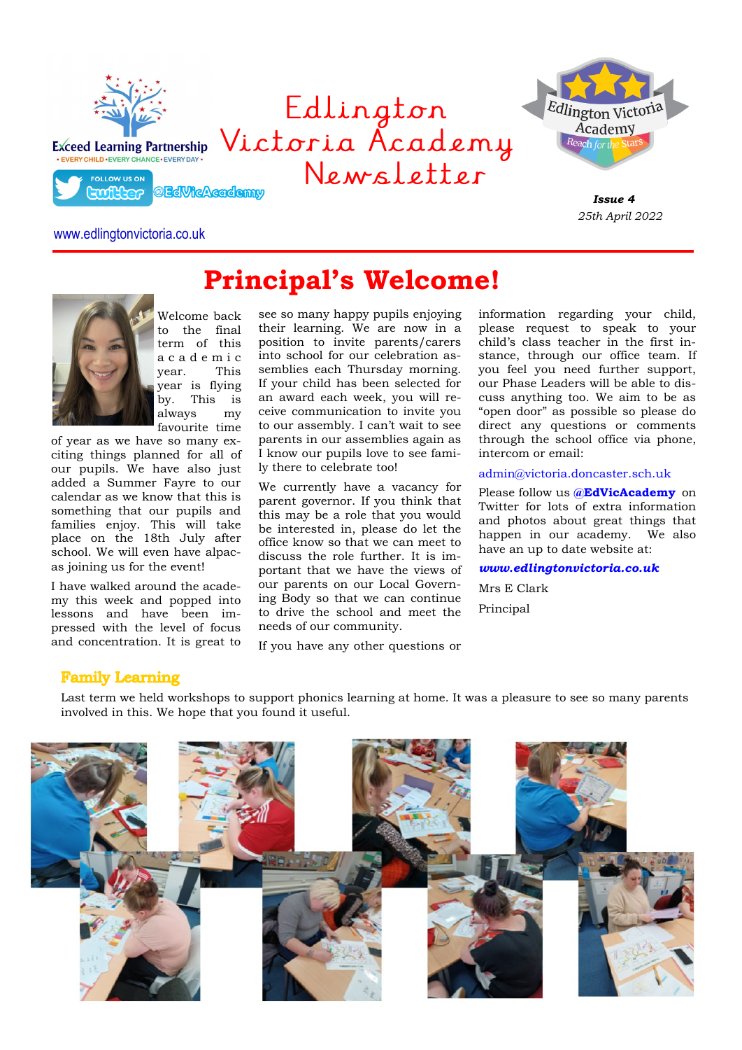

# www.edlingtonvictoria.co.uk



Welcome back to the final term of this a c a d e m i c year. This year is flying by. This is always my favourite time

of year as we have so many exciting things planned for all of our pupils. We have also just added a Summer Fayre to our calendar as we know that this is something that our pupils and families enjoy. This will take place on the 18th July after school. We will even have alpacas joining us for the event!

I have walked around the academy this week and popped into lessons and have been impressed with the level of focus and concentration. It is great to

see so many happy pupils enjoying their learning. We are now in a position to invite parents/carers into school for our celebration assemblies each Thursday morning. If your child has been selected for an award each week, you will receive communication to invite you to our assembly. I can't wait to see parents in our assemblies again as I know our pupils love to see family there to celebrate too!

**Principal's Welcome!**

We currently have a vacancy for parent governor. If you think that this may be a role that you would be interested in, please do let the office know so that we can meet to discuss the role further. It is important that we have the views of our parents on our Local Governing Body so that we can continue to drive the school and meet the needs of our community.

If you have any other questions or

information regarding your child, please request to speak to your child's class teacher in the first instance, through our office team. If you feel you need further support, our Phase Leaders will be able to discuss anything too. We aim to be as "open door" as possible so please do direct any questions or comments through the school office via phone, intercom or email:

admin@victoria.doncaster.sch.uk

Please follow us **@EdVicAcademy** on Twitter for lots of extra information and photos about great things that happen in our academy. We also have an up to date website at:

*www.edlingtonvictoria.co.uk*

Mrs E Clark Principal

# **Family Learning**

Last term we held workshops to support phonics learning at home. It was a pleasure to see so many parents involved in this. We hope that you found it useful.